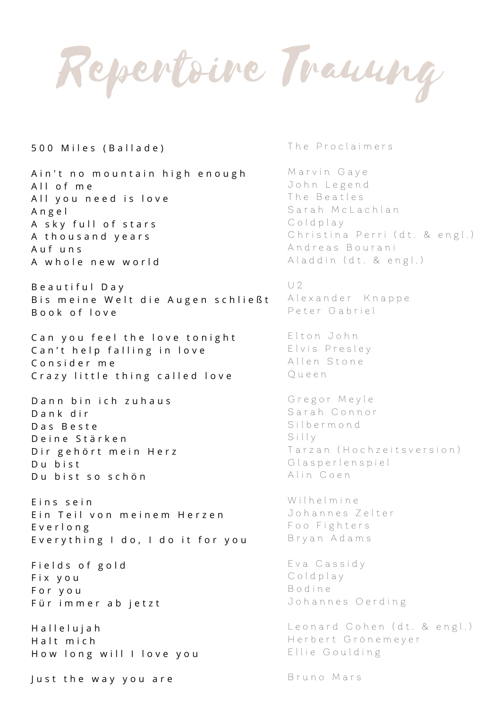Repertoire Trauung

500 Miles (Ballade)

Ain't no mountain high enough All of me All you need is love A n g e l A sky full of stars A thousand years A u f u n s A whole new world

Beautiful Day B is meine Welt die Augen schließt B o o k o f l o v e

Can you feel the love tonight Can't help falling in love Consider me C r a z y little thing called love

D a n n b i n i c h z u h a u s D a n k d i r D a s B e s t e Deine Stärken Dir gehört mein Herz Du bist Du bist so schön

Eins sein Ein Teil von meinem Herzen E v e r l o n g Everything I do, I do it for you

Fields of gold F i x y o u F o r y o u Für immer ab jetzt

H a l l e l u j a h H alt mich How long will I love you

Just the way you are

The Proclaimers

Marvin Gaye John Legend The Beatles Sarah McLachlan C old play Christina Perri (dt. & engl.) Andreas Bourani Aladdin (dt. & engl.)

 $U2$ 

Alexander Knappe Peter Gabriel

Elton John Elvis Presley Allen Stone Q u e e n

Gregor Meyle Sarah Connor S i l b e r m o n d Silly Tarzan (Hochzeitsversion) G lasperlenspiel Alin Coen

Wilhelmine Johannes Zelter Foo Fighters B r y a n A d a m s

E v a C a s s i d y Coldplay B o d i n e Johannes Oerding

Leonard Cohen (dt. & engl.) Herbert Grönemeyer Ellie Goulding

Bruno Mars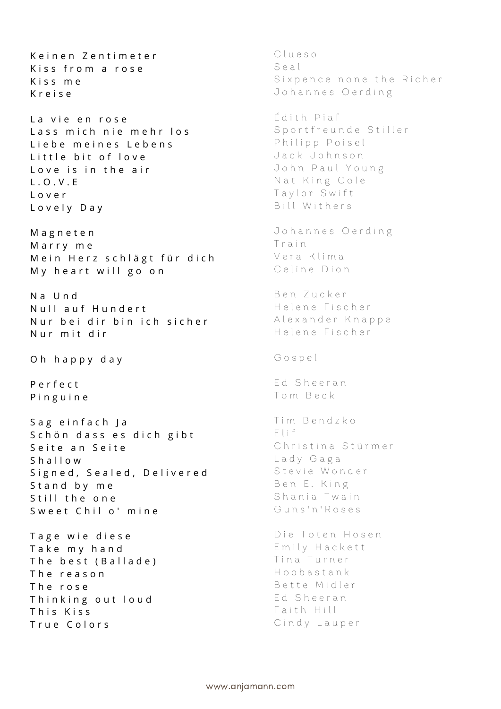Keinen Zentimeter Kiss from a rose Kiss me K r e i s e La vie en rose Lass mich nie mehr los Liebe meines Lebens Little bit of love Love is in the air L . O . V . E L o v e r Lovely Day M a g n e t e n Marry me Mein Herz schlägt für dich My heart will go on N a U n d Null auf Hundert N ur bei dir bin ich sicher Nur mit dir Oh happy day P e r f e c t P i n g u i n e Sag einfach Ja Schön dass es dich gibt Seite an Seite Shallow Signed, Sealed, Delivered Stand by me Still the one Sweet Chil o' mine Tage wie diese Take my hand The best (Ballade) T h e r e a s o n T h e r o s e Thinking out loud This Kiss True Colors

C l u e s o S e a l Sixpence none the Richer Johannes Oerding É d i t h P i a f Sportfreunde Stiller Philipp Poisel Jack Johnson John Paul Young Nat King Cole Taylor Swift Bill Withers Johannes Oerding T r a i n Vera Klima Celine Dion Ben Zucker Helene Fischer Alexander Knappe Helene Fischer G o s p e l Ed Sheeran T o m B e c k Tim Bendzko E l i f Christina Stürmer Lady Gaga Stevie Wonder Ben E. King Shania Twain Guns'n'Roses Die Toten Hosen Emily Hackett Tina Turner H o o b a s t a n k Bette Midler Ed Sheeran Faith Hill Cindy Lauper